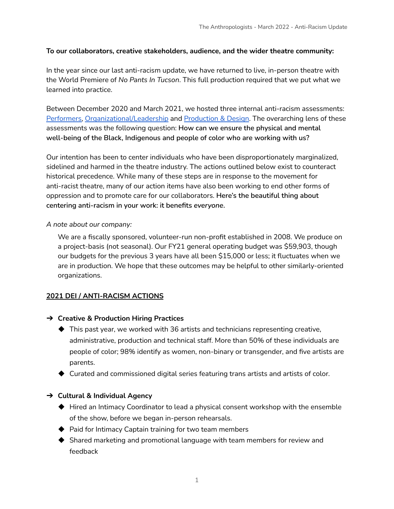#### **To our collaborators, creative stakeholders, audience, and the wider theatre community:**

In the year since our last anti-racism update, we have returned to live, in-person theatre with the World Premiere of *No Pants In Tucson*. This full production required that we put what we learned into practice.

Between December 2020 and March 2021, we hosted three internal anti-racism assessments: [Performers,](https://www.theanthropologists.org/_files/ugd/51de75_ac3e33170c2544d3a35475e1bae6063c.pdf) [Organizational/Leadership](https://www.theanthropologists.org/_files/ugd/51de75_ac3e33170c2544d3a35475e1bae6063c.pdf) and [Production](https://www.theanthropologists.org/_files/ugd/51de75_f0a6807498fc48a59a4cc63df2fa3fee.pdf) & Design. The overarching lens of these assessments was the following question: **How can we ensure the physical and mental well-being of the Black, Indigenous and people of color who are working with us?**

Our intention has been to center individuals who have been disproportionately marginalized, sidelined and harmed in the theatre industry. The actions outlined below exist to counteract historical precedence. While many of these steps are in response to the movement for anti-racist theatre, many of our action items have also been working to end other forms of oppression and to promote care for our collaborators. **Here's the beautiful thing about centering anti-racism in your work: it benefits** *everyone***.**

#### *A note about our company:*

We are a fiscally sponsored, volunteer-run non-profit established in 2008. We produce on a project-basis (not seasonal). Our FY21 general operating budget was \$59,903, though our budgets for the previous 3 years have all been \$15,000 or less; it fluctuates when we are in production. We hope that these outcomes may be helpful to other similarly-oriented organizations.

### **2021 DEI / ANTI-RACISM ACTIONS**

- ➔ **Creative & Production Hiring Practices**
	- $\blacklozenge$  This past year, we worked with 36 artists and technicians representing creative, administrative, production and technical staff. More than 50% of these individuals are people of color; 98% identify as women, non-binary or transgender, and five artists are parents.
	- $\blacklozenge$  Curated and commissioned digital series featuring trans artists and artists of color.

### ➔ **Cultural & Individual Agency**

- ◆ Hired an Intimacy Coordinator to lead a physical consent workshop with the ensemble of the show, before we began in-person rehearsals.
- ◆ Paid for Intimacy Captain training for two team members
- ◆ Shared marketing and promotional language with team members for review and feedback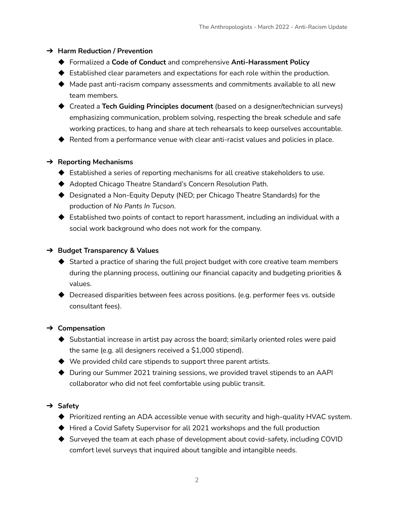### ➔ **Harm Reduction / Prevention**

- ◆ Formalized a **Code of Conduct** and comprehensive **Anti-Harassment Policy**
- ◆ Established clear parameters and expectations for each role within the production.
- ◆ Made past anti-racism company assessments and commitments available to all new team members.
- ◆ Created a **Tech Guiding Principles document** (based on a designer/technician surveys) emphasizing communication, problem solving, respecting the break schedule and safe working practices, to hang and share at tech rehearsals to keep ourselves accountable.
- ◆ Rented from a performance venue with clear anti-racist values and policies in place.

## ➔ **Reporting Mechanisms**

- ◆ Established a series of reporting mechanisms for all creative stakeholders to use.
- ◆ Adopted Chicago Theatre Standard's Concern Resolution Path.
- ◆ Designated a Non-Equity Deputy (NED; per Chicago Theatre Standards) for the production of *No Pants In Tucson*.
- $\blacklozenge$  Established two points of contact to report harassment, including an individual with a social work background who does not work for the company.

## ➔ **Budget Transparency & Values**

- ◆ Started a practice of sharing the full project budget with core creative team members during the planning process, outlining our financial capacity and budgeting priorities & values.
- ◆ Decreased disparities between fees across positions. (e.g. performer fees vs. outside consultant fees).

# ➔ **Compensation**

- ◆ Substantial increase in artist pay across the board; similarly oriented roles were paid the same (e.g. all designers received a \$1,000 stipend).
- $\blacklozenge$  We provided child care stipends to support three parent artists.
- ◆ During our Summer 2021 training sessions, we provided travel stipends to an AAPI collaborator who did not feel comfortable using public transit.

# ➔ **Safety**

- ◆ Prioritized renting an ADA accessible venue with security and high-quality HVAC system.
- ◆ Hired a Covid Safety Supervisor for all 2021 workshops and the full production
- ◆ Surveyed the team at each phase of development about covid-safety, including COVID comfort level surveys that inquired about tangible and intangible needs.